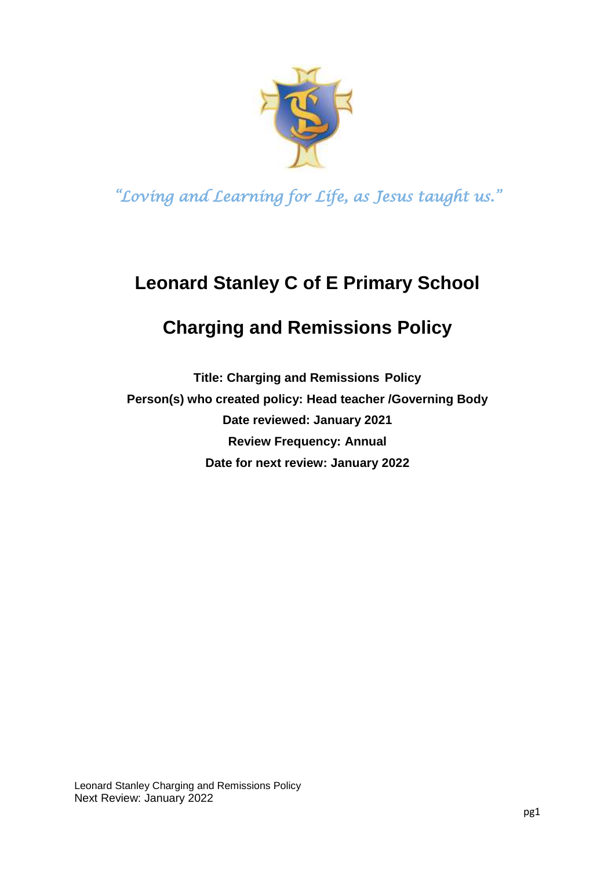

# **Leonard Stanley C of E Primary School**

# **Charging and Remissions Policy**

**Title: Charging and Remissions Policy Person(s) who created policy: Head teacher /Governing Body Date reviewed: January 2021 Review Frequency: Annual Date for next review: January 2022**

Leonard Stanley Charging and Remissions Policy Next Review: January 2022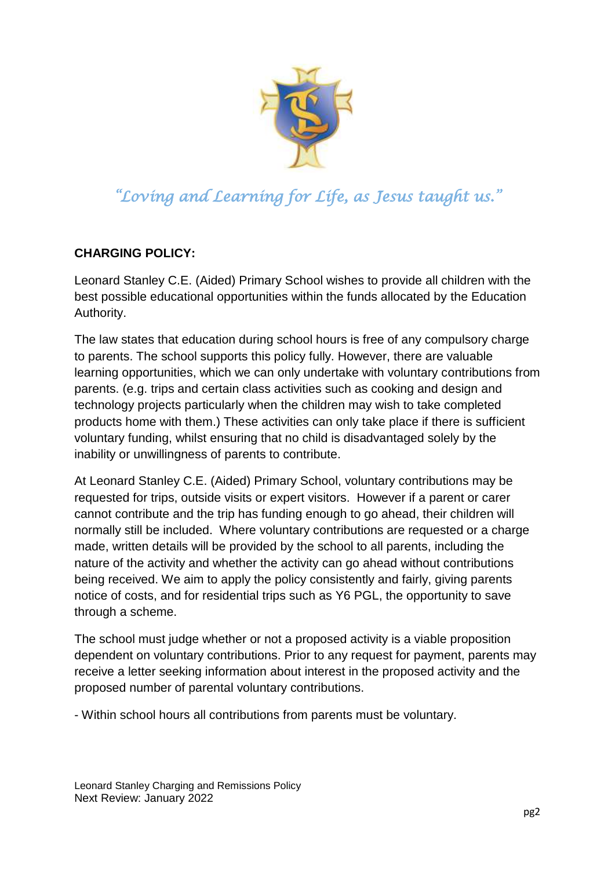

#### **CHARGING POLICY:**

Leonard Stanley C.E. (Aided) Primary School wishes to provide all children with the best possible educational opportunities within the funds allocated by the Education Authority.

The law states that education during school hours is free of any compulsory charge to parents. The school supports this policy fully. However, there are valuable learning opportunities, which we can only undertake with voluntary contributions from parents. (e.g. trips and certain class activities such as cooking and design and technology projects particularly when the children may wish to take completed products home with them.) These activities can only take place if there is sufficient voluntary funding, whilst ensuring that no child is disadvantaged solely by the inability or unwillingness of parents to contribute.

At Leonard Stanley C.E. (Aided) Primary School, voluntary contributions may be requested for trips, outside visits or expert visitors. However if a parent or carer cannot contribute and the trip has funding enough to go ahead, their children will normally still be included. Where voluntary contributions are requested or a charge made, written details will be provided by the school to all parents, including the nature of the activity and whether the activity can go ahead without contributions being received. We aim to apply the policy consistently and fairly, giving parents notice of costs, and for residential trips such as Y6 PGL, the opportunity to save through a scheme.

The school must judge whether or not a proposed activity is a viable proposition dependent on voluntary contributions. Prior to any request for payment, parents may receive a letter seeking information about interest in the proposed activity and the proposed number of parental voluntary contributions.

- Within school hours all contributions from parents must be voluntary.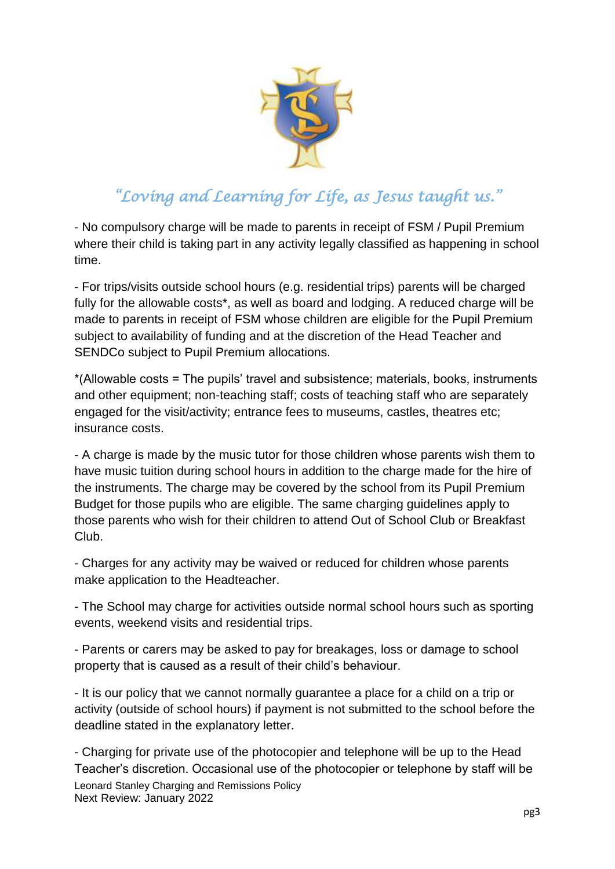

- No compulsory charge will be made to parents in receipt of FSM / Pupil Premium where their child is taking part in any activity legally classified as happening in school time.

- For trips/visits outside school hours (e.g. residential trips) parents will be charged fully for the allowable costs<sup>\*</sup>, as well as board and lodging. A reduced charge will be made to parents in receipt of FSM whose children are eligible for the Pupil Premium subject to availability of funding and at the discretion of the Head Teacher and SENDCo subject to Pupil Premium allocations.

\*(Allowable costs = The pupils' travel and subsistence; materials, books, instruments and other equipment; non-teaching staff; costs of teaching staff who are separately engaged for the visit/activity; entrance fees to museums, castles, theatres etc; insurance costs.

- A charge is made by the music tutor for those children whose parents wish them to have music tuition during school hours in addition to the charge made for the hire of the instruments. The charge may be covered by the school from its Pupil Premium Budget for those pupils who are eligible. The same charging guidelines apply to those parents who wish for their children to attend Out of School Club or Breakfast Club.

- Charges for any activity may be waived or reduced for children whose parents make application to the Headteacher.

- The School may charge for activities outside normal school hours such as sporting events, weekend visits and residential trips.

- Parents or carers may be asked to pay for breakages, loss or damage to school property that is caused as a result of their child's behaviour.

- It is our policy that we cannot normally guarantee a place for a child on a trip or activity (outside of school hours) if payment is not submitted to the school before the deadline stated in the explanatory letter.

Leonard Stanley Charging and Remissions Policy Next Review: January 2022 - Charging for private use of the photocopier and telephone will be up to the Head Teacher's discretion. Occasional use of the photocopier or telephone by staff will be